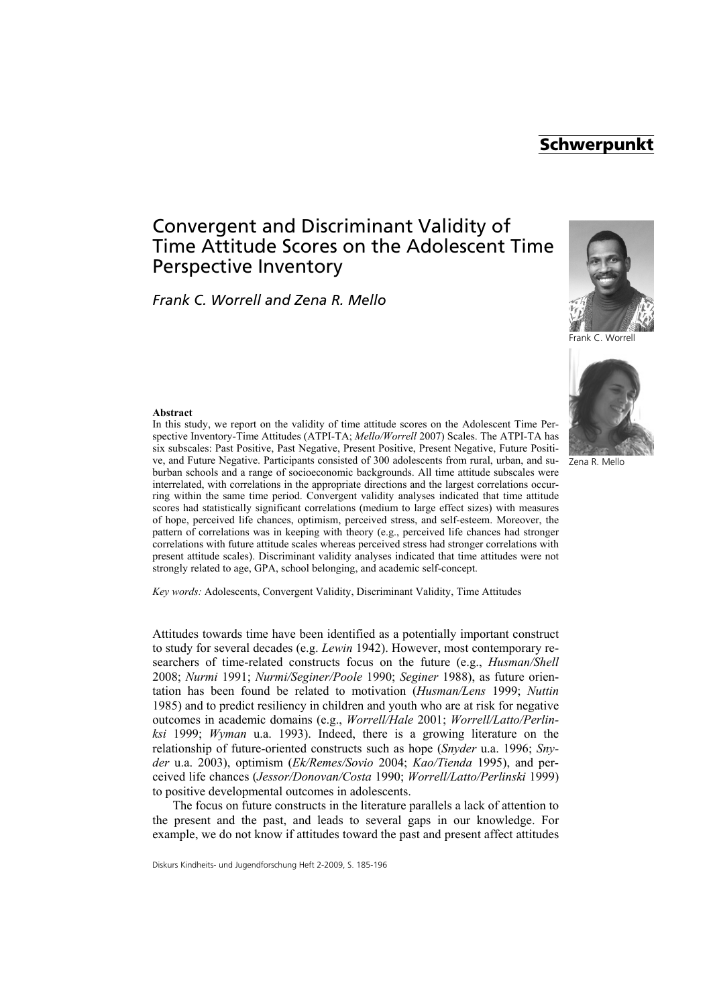# **Schwerpunkt**

# Convergent and Discriminant Validity of Time Attitude Scores on the Adolescent Time Perspective Inventory

*Frank C. Worrell and Zena R. Mello*



Frank C. Worrell



#### Zena R. Mello

#### **Abstract**

In this study, we report on the validity of time attitude scores on the Adolescent Time Perspective Inventory-Time Attitudes (ATPI-TA; *Mello/Worrell* 2007) Scales. The ATPI-TA has six subscales: Past Positive, Past Negative, Present Positive, Present Negative, Future Positive, and Future Negative. Participants consisted of 300 adolescents from rural, urban, and suburban schools and a range of socioeconomic backgrounds. All time attitude subscales were interrelated, with correlations in the appropriate directions and the largest correlations occurring within the same time period. Convergent validity analyses indicated that time attitude scores had statistically significant correlations (medium to large effect sizes) with measures of hope, perceived life chances, optimism, perceived stress, and self-esteem. Moreover, the pattern of correlations was in keeping with theory (e.g., perceived life chances had stronger correlations with future attitude scales whereas perceived stress had stronger correlations with present attitude scales). Discriminant validity analyses indicated that time attitudes were not strongly related to age, GPA, school belonging, and academic self-concept.

*Key words:* Adolescents, Convergent Validity, Discriminant Validity, Time Attitudes

Attitudes towards time have been identified as a potentially important construct to study for several decades (e.g. *Lewin* 1942). However, most contemporary researchers of time-related constructs focus on the future (e.g., *Husman/Shell* 2008; *Nurmi* 1991; *Nurmi/Seginer/Poole* 1990; *Seginer* 1988), as future orientation has been found be related to motivation (*Husman/Lens* 1999; *Nuttin* 1985) and to predict resiliency in children and youth who are at risk for negative outcomes in academic domains (e.g., *Worrell/Hale* 2001; *Worrell/Latto/Perlinksi* 1999; *Wyman* u.a. 1993). Indeed, there is a growing literature on the relationship of future-oriented constructs such as hope (*Snyder* u.a. 1996; *Snyder* u.a. 2003), optimism (*Ek/Remes/Sovio* 2004; *Kao/Tienda* 1995), and perceived life chances (*Jessor/Donovan/Costa* 1990; *Worrell/Latto/Perlinski* 1999) to positive developmental outcomes in adolescents.

The focus on future constructs in the literature parallels a lack of attention to the present and the past, and leads to several gaps in our knowledge. For example, we do not know if attitudes toward the past and present affect attitudes

Diskurs Kindheits- und Jugendforschung Heft 2-2009, S. 185-196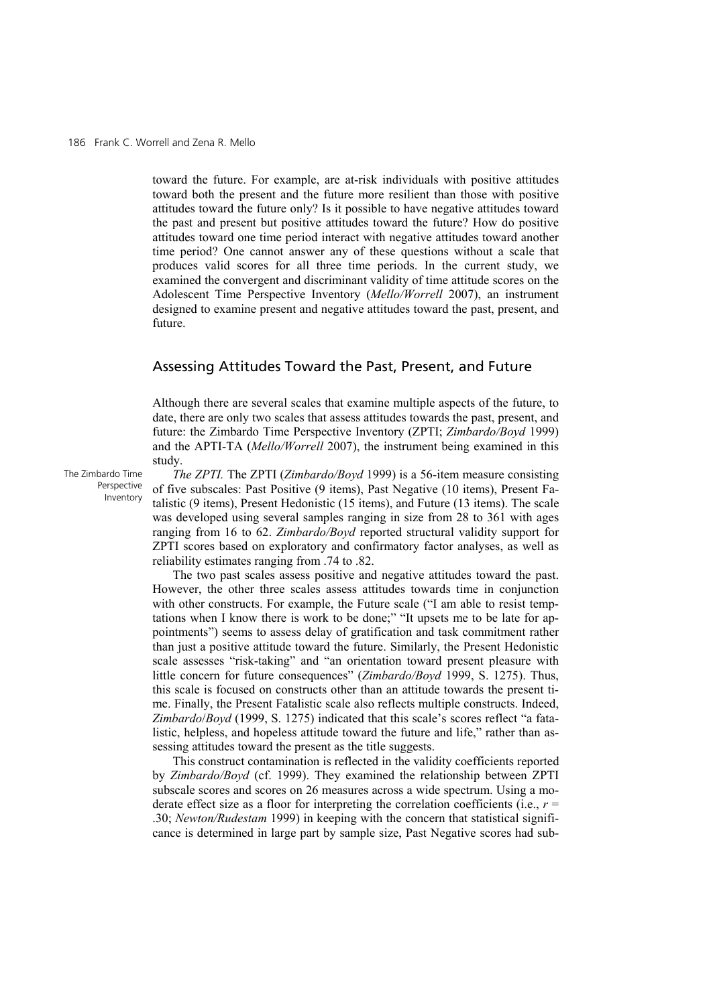toward the future. For example, are at-risk individuals with positive attitudes toward both the present and the future more resilient than those with positive attitudes toward the future only? Is it possible to have negative attitudes toward the past and present but positive attitudes toward the future? How do positive attitudes toward one time period interact with negative attitudes toward another time period? One cannot answer any of these questions without a scale that produces valid scores for all three time periods. In the current study, we examined the convergent and discriminant validity of time attitude scores on the Adolescent Time Perspective Inventory (*Mello/Worrell* 2007), an instrument designed to examine present and negative attitudes toward the past, present, and future.

# Assessing Attitudes Toward the Past, Present, and Future

Although there are several scales that examine multiple aspects of the future, to date, there are only two scales that assess attitudes towards the past, present, and future: the Zimbardo Time Perspective Inventory (ZPTI; *Zimbardo/Boyd* 1999) and the APTI-TA (*Mello/Worrell* 2007), the instrument being examined in this study.

The Zimbardo Time Perspective Inventory

*The ZPTI.* The ZPTI (*Zimbardo/Boyd* 1999) is a 56-item measure consisting of five subscales: Past Positive (9 items), Past Negative (10 items), Present Fatalistic (9 items), Present Hedonistic (15 items), and Future (13 items). The scale was developed using several samples ranging in size from 28 to 361 with ages ranging from 16 to 62. *Zimbardo/Boyd* reported structural validity support for ZPTI scores based on exploratory and confirmatory factor analyses, as well as reliability estimates ranging from .74 to .82.

The two past scales assess positive and negative attitudes toward the past. However, the other three scales assess attitudes towards time in conjunction with other constructs. For example, the Future scale ("I am able to resist temptations when I know there is work to be done;" "It upsets me to be late for appointments") seems to assess delay of gratification and task commitment rather than just a positive attitude toward the future. Similarly, the Present Hedonistic scale assesses "risk-taking" and "an orientation toward present pleasure with little concern for future consequences" (*Zimbardo/Boyd* 1999, S. 1275). Thus, this scale is focused on constructs other than an attitude towards the present time. Finally, the Present Fatalistic scale also reflects multiple constructs. Indeed, *Zimbardo*/*Boyd* (1999, S. 1275) indicated that this scale's scores reflect "a fatalistic, helpless, and hopeless attitude toward the future and life," rather than assessing attitudes toward the present as the title suggests.

This construct contamination is reflected in the validity coefficients reported by *Zimbardo/Boyd* (cf. 1999). They examined the relationship between ZPTI subscale scores and scores on 26 measures across a wide spectrum. Using a moderate effect size as a floor for interpreting the correlation coefficients (i.e.,  $r =$ .30; *Newton/Rudestam* 1999) in keeping with the concern that statistical significance is determined in large part by sample size, Past Negative scores had sub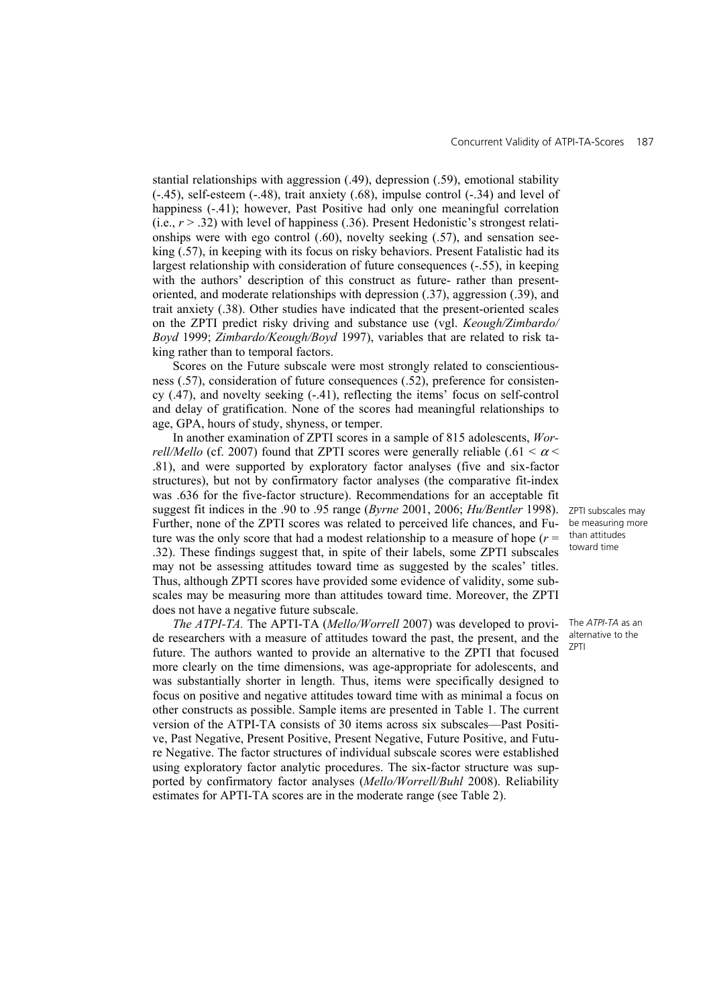stantial relationships with aggression (.49), depression (.59), emotional stability (-.45), self-esteem (-.48), trait anxiety (.68), impulse control (-.34) and level of happiness (-.41); however, Past Positive had only one meaningful correlation (i.e., *r* > .32) with level of happiness (.36). Present Hedonistic's strongest relationships were with ego control  $(.60)$ , novelty seeking  $(.57)$ , and sensation seeking (.57), in keeping with its focus on risky behaviors. Present Fatalistic had its largest relationship with consideration of future consequences (-.55), in keeping with the authors' description of this construct as future- rather than presentoriented, and moderate relationships with depression (.37), aggression (.39), and trait anxiety (.38). Other studies have indicated that the present-oriented scales on the ZPTI predict risky driving and substance use (vgl. *Keough/Zimbardo/ Boyd* 1999; *Zimbardo/Keough/Boyd* 1997), variables that are related to risk taking rather than to temporal factors.

Scores on the Future subscale were most strongly related to conscientiousness (.57), consideration of future consequences (.52), preference for consistency (.47), and novelty seeking (-.41), reflecting the items' focus on self-control and delay of gratification. None of the scores had meaningful relationships to age, GPA, hours of study, shyness, or temper.

In another examination of ZPTI scores in a sample of 815 adolescents, *Worrell/Mello* (cf. 2007) found that ZPTI scores were generally reliable (.61  $\lt \alpha$ .81), and were supported by exploratory factor analyses (five and six-factor structures), but not by confirmatory factor analyses (the comparative fit-index was .636 for the five-factor structure). Recommendations for an acceptable fit suggest fit indices in the .90 to .95 range (*Byrne* 2001, 2006; *Hu/Bentler* 1998). Further, none of the ZPTI scores was related to perceived life chances, and Future was the only score that had a modest relationship to a measure of hope  $(r =$ .32). These findings suggest that, in spite of their labels, some ZPTI subscales may not be assessing attitudes toward time as suggested by the scales' titles. Thus, although ZPTI scores have provided some evidence of validity, some subscales may be measuring more than attitudes toward time. Moreover, the ZPTI does not have a negative future subscale.

*The ATPI-TA.* The APTI-TA (*Mello/Worrell* 2007) was developed to provide researchers with a measure of attitudes toward the past, the present, and the future. The authors wanted to provide an alternative to the ZPTI that focused more clearly on the time dimensions, was age-appropriate for adolescents, and was substantially shorter in length. Thus, items were specifically designed to focus on positive and negative attitudes toward time with as minimal a focus on other constructs as possible. Sample items are presented in Table 1. The current version of the ATPI-TA consists of 30 items across six subscales—Past Positive, Past Negative, Present Positive, Present Negative, Future Positive, and Future Negative. The factor structures of individual subscale scores were established using exploratory factor analytic procedures. The six-factor structure was supported by confirmatory factor analyses (*Mello/Worrell/Buhl* 2008). Reliability estimates for APTI-TA scores are in the moderate range (see Table 2).

ZPTI subscales may be measuring more than attitudes toward time

The *ATPI-TA* as an alternative to the ZPTI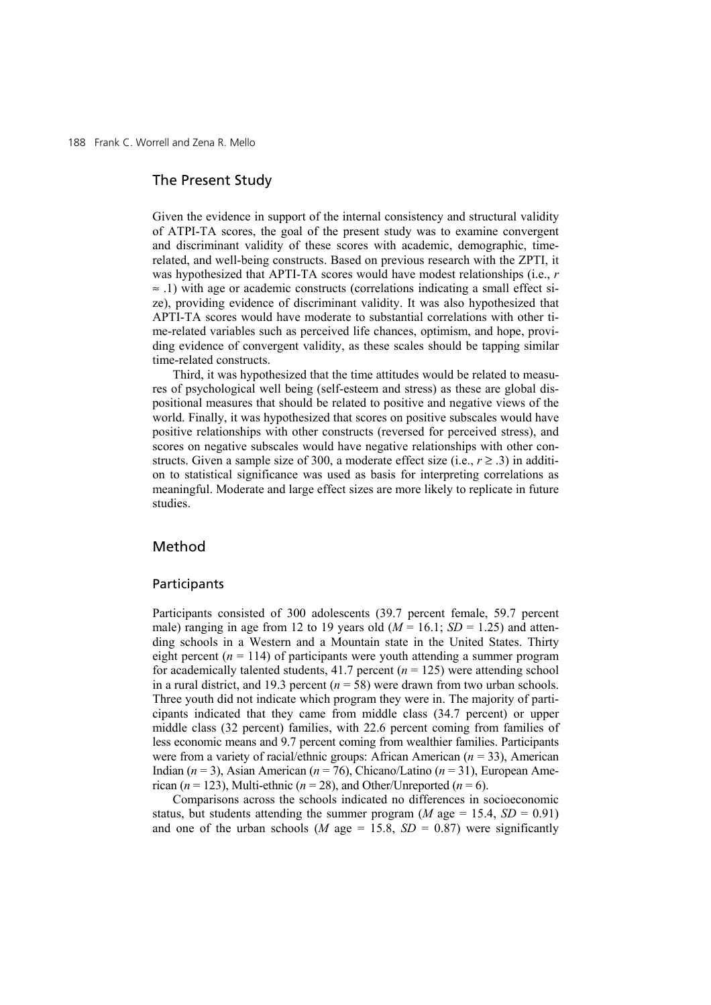188 Frank C. Worrell and Zena R. Mello

# The Present Study

Given the evidence in support of the internal consistency and structural validity of ATPI-TA scores, the goal of the present study was to examine convergent and discriminant validity of these scores with academic, demographic, timerelated, and well-being constructs. Based on previous research with the ZPTI, it was hypothesized that APTI-TA scores would have modest relationships (i.e., *r* ≈ .1) with age or academic constructs (correlations indicating a small effect size), providing evidence of discriminant validity. It was also hypothesized that APTI-TA scores would have moderate to substantial correlations with other time-related variables such as perceived life chances, optimism, and hope, providing evidence of convergent validity, as these scales should be tapping similar time-related constructs.

Third, it was hypothesized that the time attitudes would be related to measures of psychological well being (self-esteem and stress) as these are global dispositional measures that should be related to positive and negative views of the world. Finally, it was hypothesized that scores on positive subscales would have positive relationships with other constructs (reversed for perceived stress), and scores on negative subscales would have negative relationships with other constructs. Given a sample size of 300, a moderate effect size (i.e.,  $r \ge 0.3$ ) in addition to statistical significance was used as basis for interpreting correlations as meaningful. Moderate and large effect sizes are more likely to replicate in future studies.

# Method

### Participants

Participants consisted of 300 adolescents (39.7 percent female, 59.7 percent male) ranging in age from 12 to 19 years old  $(M = 16.1; SD = 1.25)$  and attending schools in a Western and a Mountain state in the United States. Thirty eight percent  $(n = 114)$  of participants were youth attending a summer program for academically talented students,  $41.7$  percent ( $n = 125$ ) were attending school in a rural district, and 19.3 percent  $(n = 58)$  were drawn from two urban schools. Three youth did not indicate which program they were in. The majority of participants indicated that they came from middle class (34.7 percent) or upper middle class (32 percent) families, with 22.6 percent coming from families of less economic means and 9.7 percent coming from wealthier families. Participants were from a variety of racial/ethnic groups: African American (*n* = 33), American Indian (*n* = 3), Asian American (*n* = 76), Chicano/Latino (*n* = 31), European American ( $n = 123$ ), Multi-ethnic ( $n = 28$ ), and Other/Unreported ( $n = 6$ ).

Comparisons across the schools indicated no differences in socioeconomic status, but students attending the summer program (*M* age = 15.4,  $SD = 0.91$ ) and one of the urban schools (*M* age = 15.8,  $SD = 0.87$ ) were significantly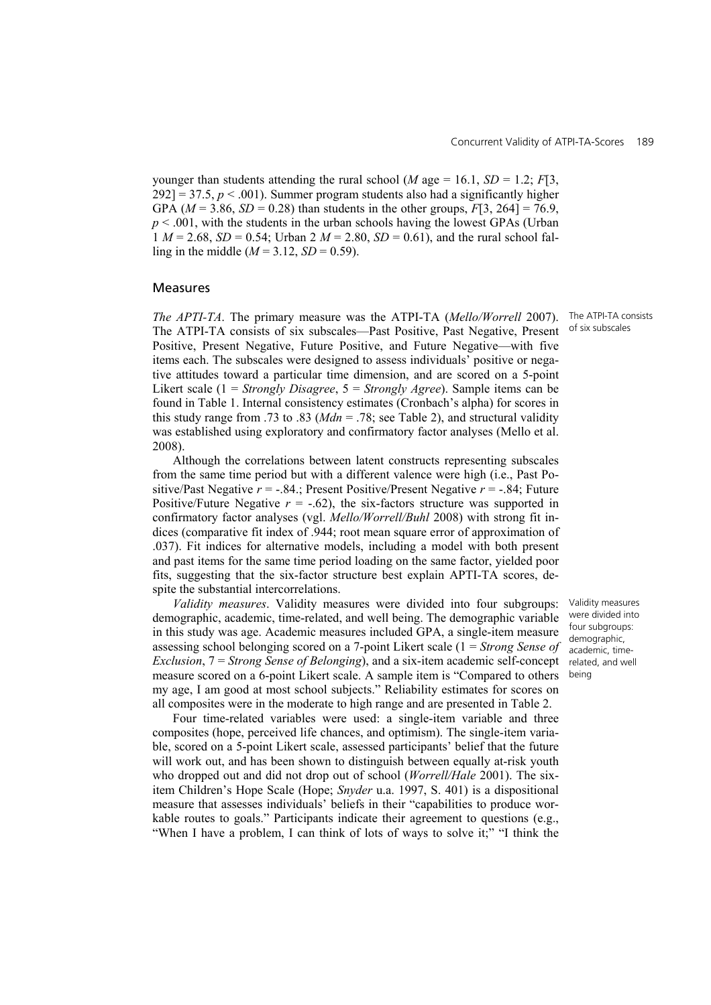younger than students attending the rural school (*M* age = 16.1,  $SD = 1.2$ ;  $F[3]$ ,  $292$ ] = 37.5,  $p < .001$ ). Summer program students also had a significantly higher GPA ( $M = 3.86$ ,  $SD = 0.28$ ) than students in the other groups,  $F[3, 264] = 76.9$ , *p* < .001, with the students in the urban schools having the lowest GPAs (Urban 1  $M = 2.68$ ,  $SD = 0.54$ ; Urban 2  $M = 2.80$ ,  $SD = 0.61$ ), and the rural school falling in the middle ( $M = 3.12$ ,  $SD = 0.59$ ).

### Measures

*The APTI-TA*. The primary measure was the ATPI-TA (*Mello/Worrell* 2007). The ATPI-TA consists of six subscales—Past Positive, Past Negative, Present Positive, Present Negative, Future Positive, and Future Negative—with five items each. The subscales were designed to assess individuals' positive or negative attitudes toward a particular time dimension, and are scored on a 5-point Likert scale (1 = *Strongly Disagree*, 5 = *Strongly Agree*). Sample items can be found in Table 1. Internal consistency estimates (Cronbach's alpha) for scores in this study range from .73 to .83 ( $Mdn = .78$ ; see Table 2), and structural validity was established using exploratory and confirmatory factor analyses (Mello et al. 2008).

Although the correlations between latent constructs representing subscales from the same time period but with a different valence were high (i.e., Past Positive/Past Negative  $r = -.84$ .; Present Positive/Present Negative  $r = -.84$ ; Future Positive/Future Negative  $r = -.62$ ), the six-factors structure was supported in confirmatory factor analyses (vgl. *Mello/Worrell/Buhl* 2008) with strong fit indices (comparative fit index of .944; root mean square error of approximation of .037). Fit indices for alternative models, including a model with both present and past items for the same time period loading on the same factor, yielded poor fits, suggesting that the six-factor structure best explain APTI-TA scores, despite the substantial intercorrelations.

*Validity measures*. Validity measures were divided into four subgroups: demographic, academic, time-related, and well being. The demographic variable in this study was age. Academic measures included GPA, a single-item measure assessing school belonging scored on a 7-point Likert scale (1 = *Strong Sense of Exclusion*, 7 = *Strong Sense of Belonging*), and a six-item academic self-concept measure scored on a 6-point Likert scale. A sample item is "Compared to others my age, I am good at most school subjects." Reliability estimates for scores on all composites were in the moderate to high range and are presented in Table 2.

Four time-related variables were used: a single-item variable and three composites (hope, perceived life chances, and optimism). The single-item variable, scored on a 5-point Likert scale, assessed participants' belief that the future will work out, and has been shown to distinguish between equally at-risk youth who dropped out and did not drop out of school (*Worrell/Hale* 2001). The sixitem Children's Hope Scale (Hope; *Snyder* u.a. 1997, S. 401) is a dispositional measure that assesses individuals' beliefs in their "capabilities to produce workable routes to goals." Participants indicate their agreement to questions (e.g., "When I have a problem, I can think of lots of ways to solve it;" "I think the

The ATPI-TA consists of six subscales

Validity measures were divided into four subgroups: demographic, academic, timerelated, and well being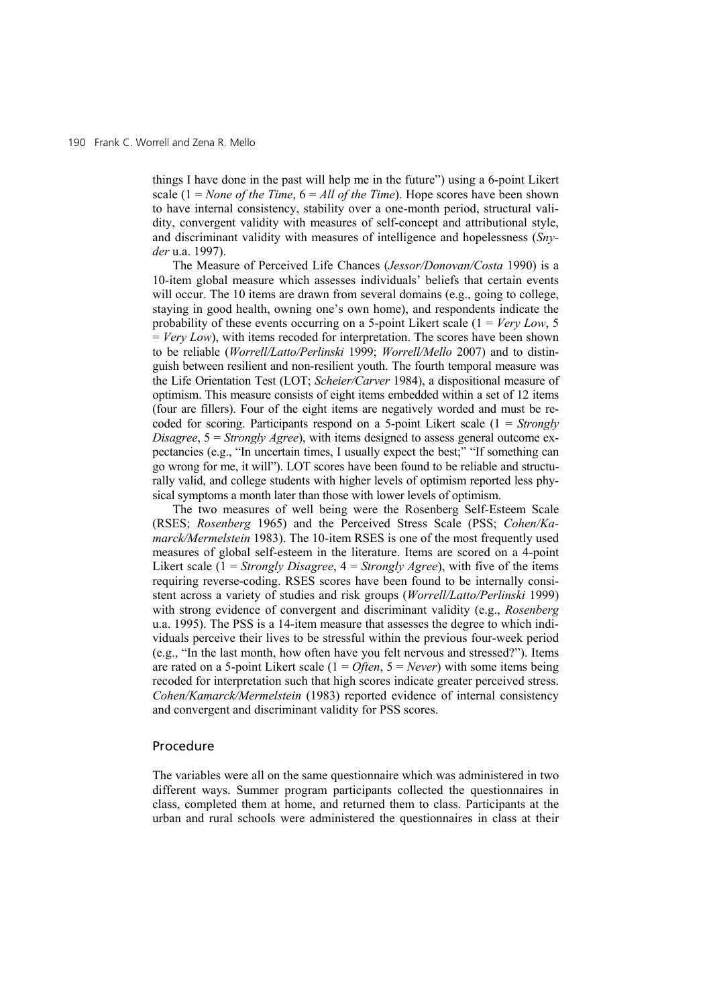things I have done in the past will help me in the future") using a 6-point Likert scale  $(1 = None of the Time, 6 = All of the Time)$ . Hope scores have been shown to have internal consistency, stability over a one-month period, structural validity, convergent validity with measures of self-concept and attributional style, and discriminant validity with measures of intelligence and hopelessness (*Snyder* u.a. 1997).

The Measure of Perceived Life Chances (*Jessor/Donovan/Costa* 1990) is a 10-item global measure which assesses individuals' beliefs that certain events will occur. The 10 items are drawn from several domains (e.g., going to college, staying in good health, owning one's own home), and respondents indicate the probability of these events occurring on a 5-point Likert scale (1 = *Very Low*, 5 = *Very Low*), with items recoded for interpretation. The scores have been shown to be reliable (*Worrell/Latto/Perlinski* 1999; *Worrell/Mello* 2007) and to distinguish between resilient and non-resilient youth. The fourth temporal measure was the Life Orientation Test (LOT; *Scheier/Carver* 1984), a dispositional measure of optimism. This measure consists of eight items embedded within a set of 12 items (four are fillers). Four of the eight items are negatively worded and must be recoded for scoring. Participants respond on a 5-point Likert scale (1 = *Strongly Disagree*,  $5 =$  *Strongly Agree*), with items designed to assess general outcome expectancies (e.g., "In uncertain times, I usually expect the best;" "If something can go wrong for me, it will"). LOT scores have been found to be reliable and structurally valid, and college students with higher levels of optimism reported less physical symptoms a month later than those with lower levels of optimism.

The two measures of well being were the Rosenberg Self-Esteem Scale (RSES; *Rosenberg* 1965) and the Perceived Stress Scale (PSS; *Cohen/Kamarck/Mermelstein* 1983). The 10-item RSES is one of the most frequently used measures of global self-esteem in the literature. Items are scored on a 4-point Likert scale (1 = *Strongly Disagree*, 4 = *Strongly Agree*), with five of the items requiring reverse-coding. RSES scores have been found to be internally consistent across a variety of studies and risk groups (*Worrell/Latto/Perlinski* 1999) with strong evidence of convergent and discriminant validity (e.g., *Rosenberg* u.a. 1995). The PSS is a 14-item measure that assesses the degree to which individuals perceive their lives to be stressful within the previous four-week period (e.g., "In the last month, how often have you felt nervous and stressed?"). Items are rated on a 5-point Likert scale (1 = *Often*, 5 = *Never*) with some items being recoded for interpretation such that high scores indicate greater perceived stress. *Cohen/Kamarck/Mermelstein* (1983) reported evidence of internal consistency and convergent and discriminant validity for PSS scores.

### Procedure

The variables were all on the same questionnaire which was administered in two different ways. Summer program participants collected the questionnaires in class, completed them at home, and returned them to class. Participants at the urban and rural schools were administered the questionnaires in class at their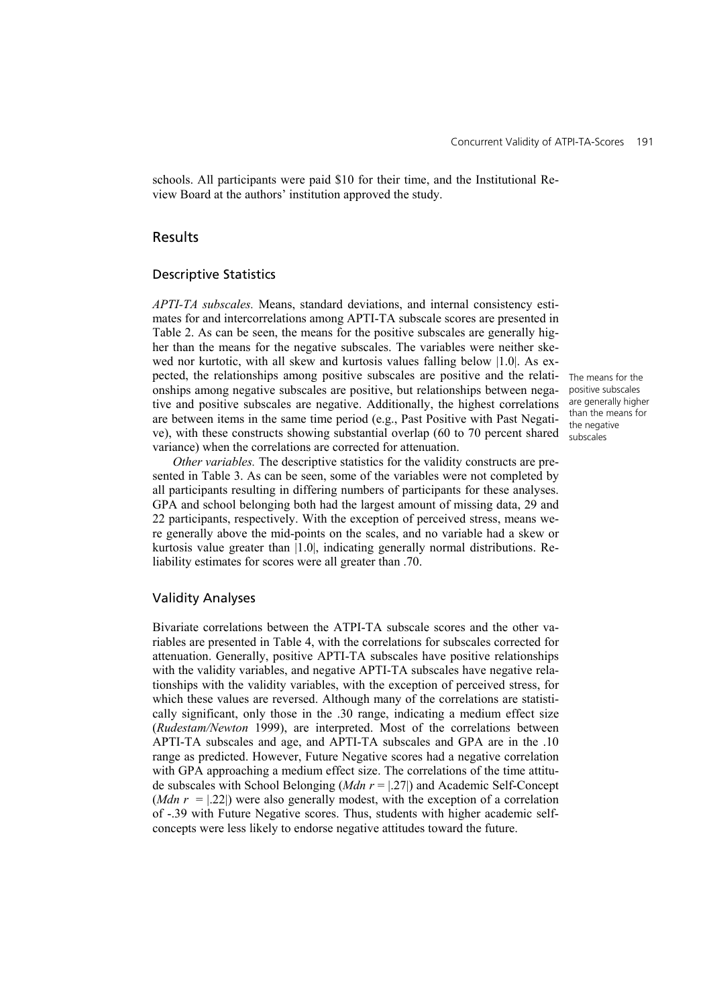schools. All participants were paid \$10 for their time, and the Institutional Review Board at the authors' institution approved the study.

# Results

### Descriptive Statistics

*APTI-TA subscales.* Means, standard deviations, and internal consistency estimates for and intercorrelations among APTI-TA subscale scores are presented in Table 2. As can be seen, the means for the positive subscales are generally higher than the means for the negative subscales. The variables were neither skewed nor kurtotic, with all skew and kurtosis values falling below |1.0|. As expected, the relationships among positive subscales are positive and the relationships among negative subscales are positive, but relationships between negative and positive subscales are negative. Additionally, the highest correlations are between items in the same time period (e.g., Past Positive with Past Negative), with these constructs showing substantial overlap (60 to 70 percent shared variance) when the correlations are corrected for attenuation.

*Other variables.* The descriptive statistics for the validity constructs are presented in Table 3. As can be seen, some of the variables were not completed by all participants resulting in differing numbers of participants for these analyses. GPA and school belonging both had the largest amount of missing data, 29 and 22 participants, respectively. With the exception of perceived stress, means were generally above the mid-points on the scales, and no variable had a skew or kurtosis value greater than |1.0|, indicating generally normal distributions. Reliability estimates for scores were all greater than .70.

### Validity Analyses

Bivariate correlations between the ATPI-TA subscale scores and the other variables are presented in Table 4, with the correlations for subscales corrected for attenuation. Generally, positive APTI-TA subscales have positive relationships with the validity variables, and negative APTI-TA subscales have negative relationships with the validity variables, with the exception of perceived stress, for which these values are reversed. Although many of the correlations are statistically significant, only those in the .30 range, indicating a medium effect size (*Rudestam/Newton* 1999), are interpreted. Most of the correlations between APTI-TA subscales and age, and APTI-TA subscales and GPA are in the .10 range as predicted. However, Future Negative scores had a negative correlation with GPA approaching a medium effect size. The correlations of the time attitude subscales with School Belonging (*Mdn r* = |.27|) and Academic Self-Concept (*Mdn r* =  $|222|$ ) were also generally modest, with the exception of a correlation of -.39 with Future Negative scores. Thus, students with higher academic selfconcepts were less likely to endorse negative attitudes toward the future.

The means for the positive subscales are generally higher than the means for the negative subscales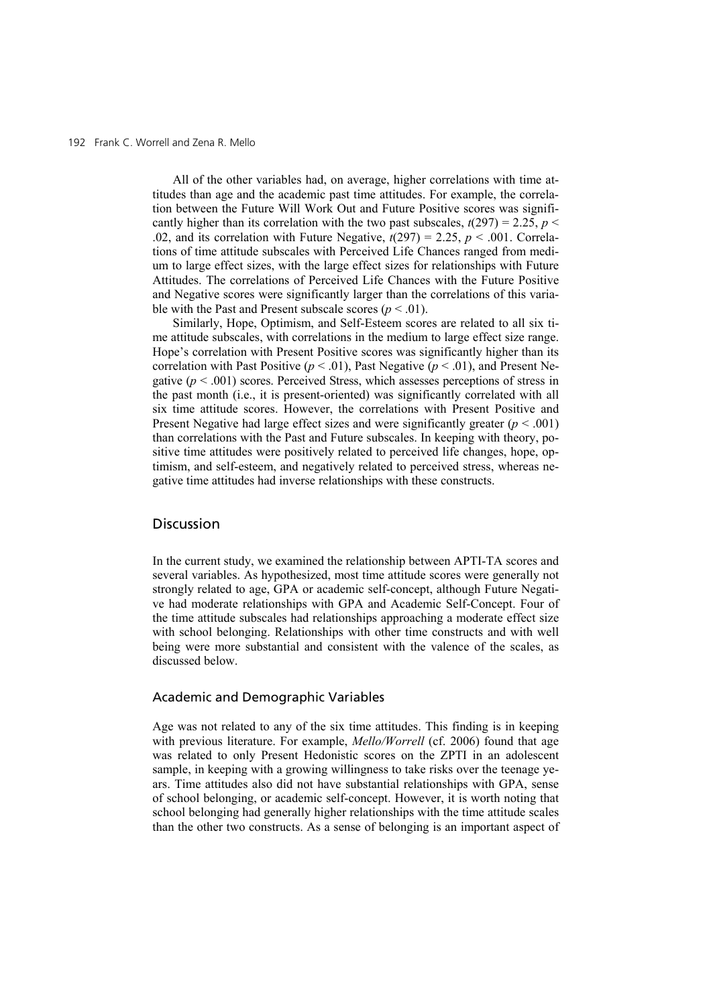#### 192 Frank C. Worrell and Zena R. Mello

All of the other variables had, on average, higher correlations with time attitudes than age and the academic past time attitudes. For example, the correlation between the Future Will Work Out and Future Positive scores was significantly higher than its correlation with the two past subscales,  $t(297) = 2.25$ ,  $p <$ .02, and its correlation with Future Negative,  $t(297) = 2.25$ ,  $p < .001$ . Correlations of time attitude subscales with Perceived Life Chances ranged from medium to large effect sizes, with the large effect sizes for relationships with Future Attitudes. The correlations of Perceived Life Chances with the Future Positive and Negative scores were significantly larger than the correlations of this variable with the Past and Present subscale scores ( $p < .01$ ).

Similarly, Hope, Optimism, and Self-Esteem scores are related to all six time attitude subscales, with correlations in the medium to large effect size range. Hope's correlation with Present Positive scores was significantly higher than its correlation with Past Positive ( $p < .01$ ), Past Negative ( $p < .01$ ), and Present Negative  $(p < .001)$  scores. Perceived Stress, which assesses perceptions of stress in the past month (i.e., it is present-oriented) was significantly correlated with all six time attitude scores. However, the correlations with Present Positive and Present Negative had large effect sizes and were significantly greater  $(p < .001)$ than correlations with the Past and Future subscales. In keeping with theory, positive time attitudes were positively related to perceived life changes, hope, optimism, and self-esteem, and negatively related to perceived stress, whereas negative time attitudes had inverse relationships with these constructs.

# Discussion

In the current study, we examined the relationship between APTI-TA scores and several variables. As hypothesized, most time attitude scores were generally not strongly related to age, GPA or academic self-concept, although Future Negative had moderate relationships with GPA and Academic Self-Concept. Four of the time attitude subscales had relationships approaching a moderate effect size with school belonging. Relationships with other time constructs and with well being were more substantial and consistent with the valence of the scales, as discussed below.

# Academic and Demographic Variables

Age was not related to any of the six time attitudes. This finding is in keeping with previous literature. For example, *Mello/Worrell* (cf. 2006) found that age was related to only Present Hedonistic scores on the ZPTI in an adolescent sample, in keeping with a growing willingness to take risks over the teenage years. Time attitudes also did not have substantial relationships with GPA, sense of school belonging, or academic self-concept. However, it is worth noting that school belonging had generally higher relationships with the time attitude scales than the other two constructs. As a sense of belonging is an important aspect of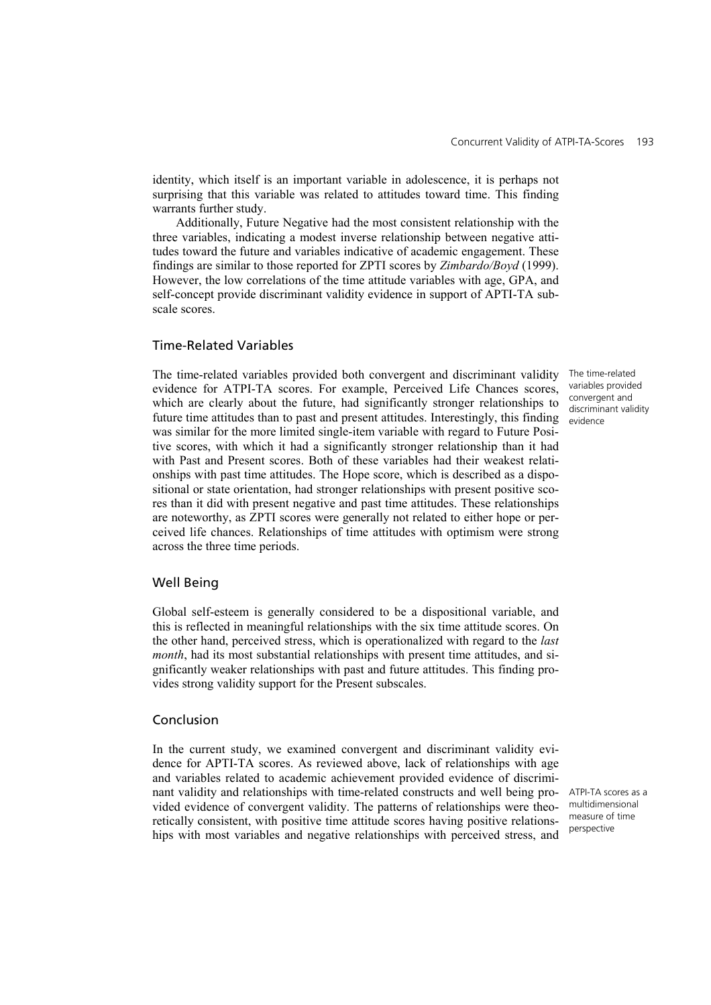identity, which itself is an important variable in adolescence, it is perhaps not surprising that this variable was related to attitudes toward time. This finding warrants further study.

 Additionally, Future Negative had the most consistent relationship with the three variables, indicating a modest inverse relationship between negative attitudes toward the future and variables indicative of academic engagement. These findings are similar to those reported for ZPTI scores by *Zimbardo/Boyd* (1999). However, the low correlations of the time attitude variables with age, GPA, and self-concept provide discriminant validity evidence in support of APTI-TA subscale scores.

# Time-Related Variables

The time-related variables provided both convergent and discriminant validity evidence for ATPI-TA scores. For example, Perceived Life Chances scores, which are clearly about the future, had significantly stronger relationships to future time attitudes than to past and present attitudes. Interestingly, this finding was similar for the more limited single-item variable with regard to Future Positive scores, with which it had a significantly stronger relationship than it had with Past and Present scores. Both of these variables had their weakest relationships with past time attitudes. The Hope score, which is described as a dispositional or state orientation, had stronger relationships with present positive scores than it did with present negative and past time attitudes. These relationships are noteworthy, as ZPTI scores were generally not related to either hope or perceived life chances. Relationships of time attitudes with optimism were strong across the three time periods.

## Well Being

Global self-esteem is generally considered to be a dispositional variable, and this is reflected in meaningful relationships with the six time attitude scores. On the other hand, perceived stress, which is operationalized with regard to the *last month*, had its most substantial relationships with present time attitudes, and significantly weaker relationships with past and future attitudes. This finding provides strong validity support for the Present subscales.

### Conclusion

In the current study, we examined convergent and discriminant validity evidence for APTI-TA scores. As reviewed above, lack of relationships with age and variables related to academic achievement provided evidence of discriminant validity and relationships with time-related constructs and well being provided evidence of convergent validity. The patterns of relationships were theoretically consistent, with positive time attitude scores having positive relationships with most variables and negative relationships with perceived stress, and

ATPI-TA scores as a multidimensional measure of time perspective

The time-related variables provided convergent and discriminant validity evidence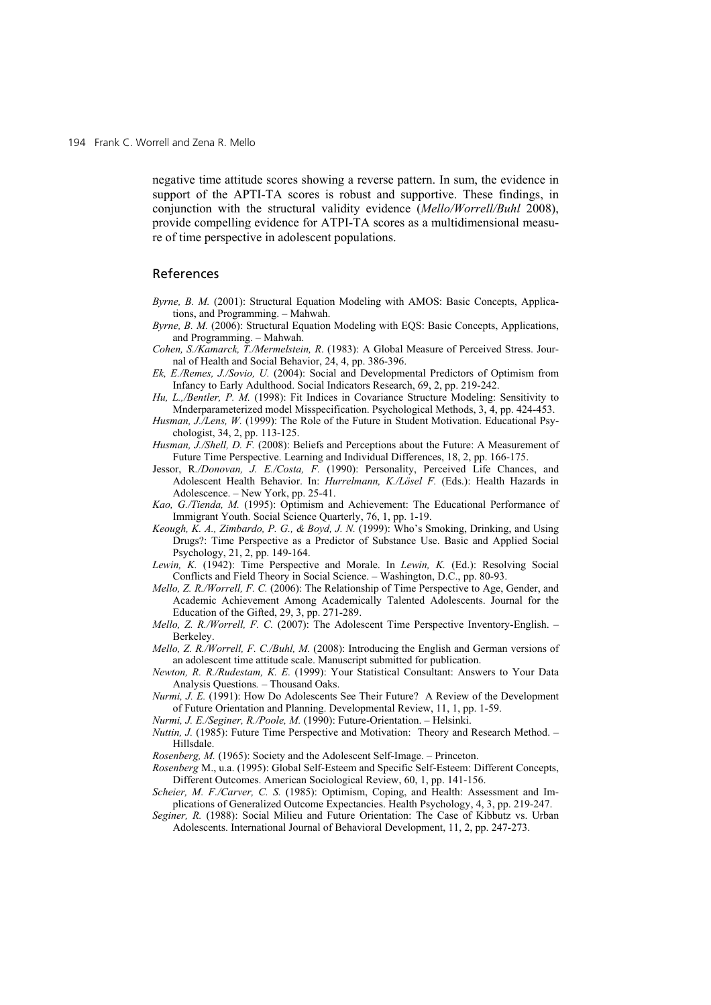negative time attitude scores showing a reverse pattern. In sum, the evidence in support of the APTI-TA scores is robust and supportive. These findings, in conjunction with the structural validity evidence (*Mello/Worrell/Buhl* 2008), provide compelling evidence for ATPI-TA scores as a multidimensional measure of time perspective in adolescent populations.

#### References

- *Byrne, B. M.* (2001): Structural Equation Modeling with AMOS: Basic Concepts, Applications, and Programming. – Mahwah.
- *Byrne, B. M.* (2006): Structural Equation Modeling with EQS: Basic Concepts, Applications, and Programming. – Mahwah.
- *Cohen, S./Kamarck, T./Mermelstein, R*. (1983): A Global Measure of Perceived Stress. Journal of Health and Social Behavior, 24, 4, pp. 386-396.
- *Ek, E./Remes, J./Sovio, U.* (2004): Social and Developmental Predictors of Optimism from Infancy to Early Adulthood. Social Indicators Research, 69, 2, pp. 219-242.
- *Hu, L.,/Bentler, P. M.* (1998): Fit Indices in Covariance Structure Modeling: Sensitivity to Mnderparameterized model Misspecification. Psychological Methods, 3, 4, pp. 424-453.
- *Husman, J./Lens, W.* (1999): The Role of the Future in Student Motivation. Educational Psychologist, 34, 2, pp. 113-125.
- *Husman, J./Shell, D. F.* (2008): Beliefs and Perceptions about the Future: A Measurement of Future Time Perspective. Learning and Individual Differences, 18, 2, pp. 166-175.
- Jessor, R*./Donovan, J. E./Costa, F.* (1990): Personality, Perceived Life Chances, and Adolescent Health Behavior. In: *Hurrelmann, K./Lösel F.* (Eds.): Health Hazards in Adolescence. – New York, pp. 25-41.
- *Kao, G./Tienda, M.* (1995): Optimism and Achievement: The Educational Performance of Immigrant Youth. Social Science Quarterly, 76, 1, pp. 1-19.
- *Keough, K. A., Zimbardo, P. G., & Boyd, J. N.* (1999): Who's Smoking, Drinking, and Using Drugs?: Time Perspective as a Predictor of Substance Use. Basic and Applied Social Psychology, 21, 2, pp. 149-164.
- *Lewin, K.* (1942): Time Perspective and Morale. In *Lewin, K.* (Ed.): Resolving Social Conflicts and Field Theory in Social Science. – Washington, D.C., pp. 80-93.
- *Mello, Z. R./Worrell, F. C.* (2006): The Relationship of Time Perspective to Age, Gender, and Academic Achievement Among Academically Talented Adolescents. Journal for the Education of the Gifted, 29, 3, pp. 271-289.
- *Mello, Z. R./Worrell, F. C.* (2007): The Adolescent Time Perspective Inventory-English. Berkeley.
- *Mello, Z. R./Worrell, F. C./Buhl, M.* (2008): Introducing the English and German versions of an adolescent time attitude scale. Manuscript submitted for publication.
- *Newton, R. R./Rudestam, K. E.* (1999): Your Statistical Consultant: Answers to Your Data Analysis Questions*.* – Thousand Oaks.
- *Nurmi, J. E.* (1991): How Do Adolescents See Their Future? A Review of the Development of Future Orientation and Planning. Developmental Review, 11, 1, pp. 1-59.
- *Nurmi, J. E./Seginer, R./Poole, M.* (1990): Future-Orientation. Helsinki.
- *Nuttin, J.* (1985): Future Time Perspective and Motivation: Theory and Research Method. Hillsdale.
- *Rosenberg, M.* (1965): Society and the Adolescent Self-Image. Princeton.
- *Rosenberg* M., u.a. (1995): Global Self-Esteem and Specific Self-Esteem: Different Concepts, Different Outcomes. American Sociological Review, 60, 1, pp. 141-156.
- *Scheier, M. F./Carver, C. S.* (1985): Optimism, Coping, and Health: Assessment and Implications of Generalized Outcome Expectancies. Health Psychology, 4, 3, pp. 219-247.
- *Seginer, R.* (1988): Social Milieu and Future Orientation: The Case of Kibbutz vs. Urban Adolescents. International Journal of Behavioral Development, 11, 2, pp. 247-273.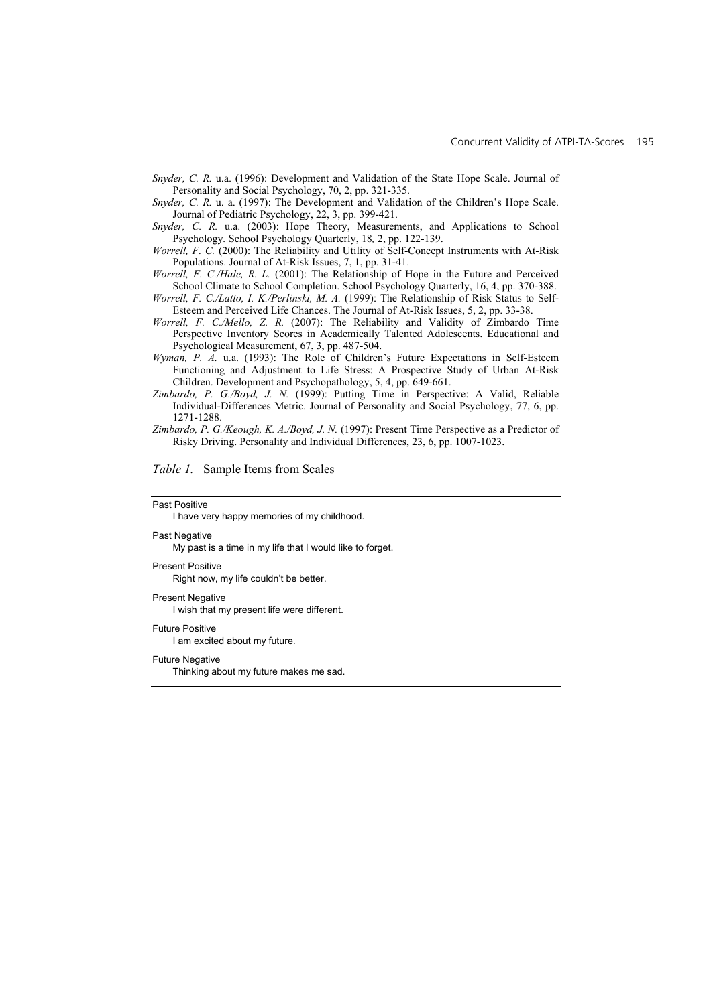- *Snyder, C. R.* u.a. (1996): Development and Validation of the State Hope Scale. Journal of Personality and Social Psychology, 70, 2, pp. 321-335.
- *Snyder, C. R.* u. a. (1997): The Development and Validation of the Children's Hope Scale. Journal of Pediatric Psychology, 22, 3, pp. 399-421.
- *Snyder, C. R.* u.a. (2003): Hope Theory, Measurements, and Applications to School Psychology*.* School Psychology Quarterly, 18*,* 2, pp. 122-139.
- *Worrell, F. C.* (2000): The Reliability and Utility of Self-Concept Instruments with At-Risk Populations. Journal of At-Risk Issues, 7, 1, pp. 31-41.
- *Worrell, F. C./Hale, R. L.* (2001): The Relationship of Hope in the Future and Perceived School Climate to School Completion. School Psychology Quarterly, 16, 4, pp. 370-388. *Worrell, F. C./Latto, I. K./Perlinski, M. A.* (1999): The Relationship of Risk Status to Self-

Esteem and Perceived Life Chances. The Journal of At-Risk Issues, 5, 2, pp. 33-38.

- *Worrell, F. C./Mello, Z. R.* (2007): The Reliability and Validity of Zimbardo Time Perspective Inventory Scores in Academically Talented Adolescents. Educational and Psychological Measurement, 67, 3, pp. 487-504.
- *Wyman, P. A.* u.a. (1993): The Role of Children's Future Expectations in Self-Esteem Functioning and Adjustment to Life Stress: A Prospective Study of Urban At-Risk Children. Development and Psychopathology, 5, 4, pp. 649-661.
- *Zimbardo, P. G./Boyd, J. N.* (1999): Putting Time in Perspective: A Valid, Reliable Individual-Differences Metric. Journal of Personality and Social Psychology, 77, 6, pp. 1271-1288.
- *Zimbardo, P. G./Keough, K. A./Boyd, J. N.* (1997): Present Time Perspective as a Predictor of Risky Driving. Personality and Individual Differences, 23, 6, pp. 1007-1023.

*Table 1.* Sample Items from Scales

#### Past Positive

I have very happy memories of my childhood.

#### Past Negative

My past is a time in my life that I would like to forget.

Present Positive

Right now, my life couldn't be better.

#### Present Negative

I wish that my present life were different.

#### Future Positive

I am excited about my future.

#### Future Negative

Thinking about my future makes me sad.